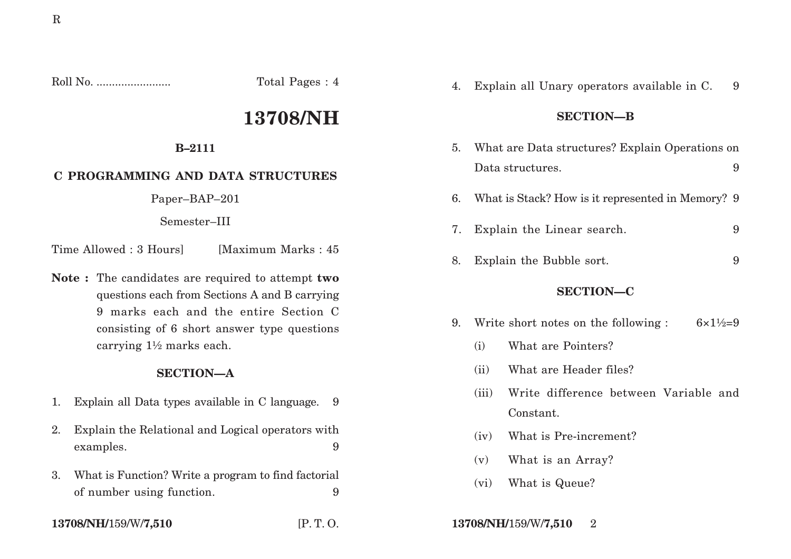Roll No. ........................ Total Pages : 4

# **13708/NH**

## **B–2111**

# **C PROGRAMMING AND DATA STRUCTURES**

Paper–BAP–201

Semester–III

Time Allowed : 3 Hoursl [Maximum Marks : 45]

**Note :** The candidates are required to attempt **two** questions each from Sections A and B carrying 9 marks each and the entire Section C consisting of 6 short answer type questions carrying 1½ marks each.

## **SECTION—A**

- 1. Explain all Data types available in C language. 9
- 2. Explain the Relational and Logical operators with examples. 9
- 3. What is Function? Write a program to find factorial of number using function. 9
- 

4. Explain all Unary operators available in C. 9

## **SECTION—B**

- 5. What are Data structures? Explain Operations on Data structures. 9
- 6. What is Stack? How is it represented in Memory? 9
- 7. Explain the Linear search. 9
- 8. Explain the Bubble sort. 9

## **SECTION—C**

- 9. Write short notes on the following :  $6 \times 1\frac{1}{2} = 9$ 
	- (i) What are Pointers?
	- (ii) What are Header files?
	- (iii) Write difference between Variable and Constant.
	- (iv) What is Pre-increment?
	- (v) What is an Array?
	- (vi) What is Queue?
- **13708/NH/**159/W/**7,510** [P. T. O. **13708/NH/**159/W/**7,510** 2